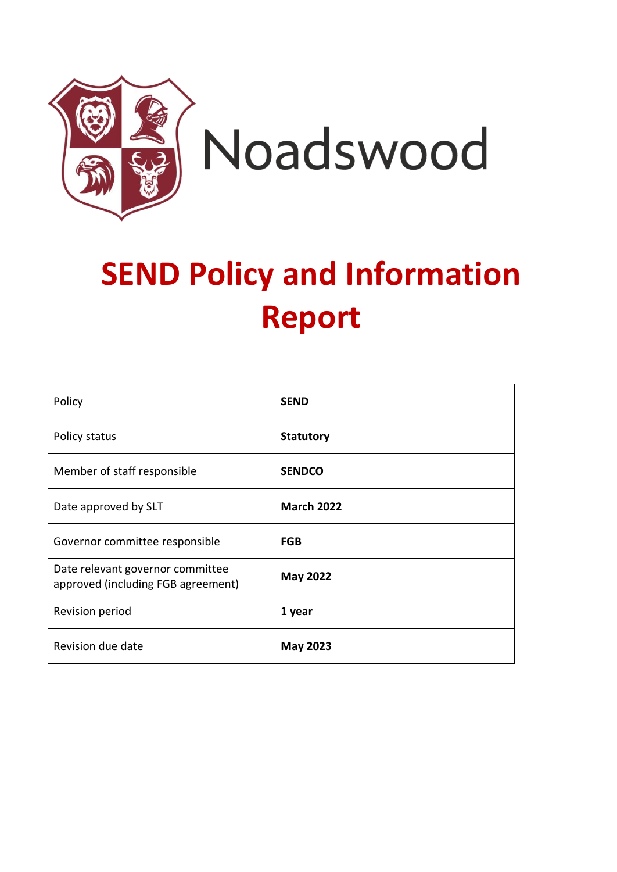

# **SEND Policy and Information Report**

| Policy                                                                 | <b>SEND</b>       |
|------------------------------------------------------------------------|-------------------|
| Policy status                                                          | <b>Statutory</b>  |
| Member of staff responsible                                            | <b>SENDCO</b>     |
| Date approved by SLT                                                   | <b>March 2022</b> |
| Governor committee responsible                                         | <b>FGB</b>        |
| Date relevant governor committee<br>approved (including FGB agreement) | <b>May 2022</b>   |
| Revision period                                                        | 1 year            |
| Revision due date                                                      | <b>May 2023</b>   |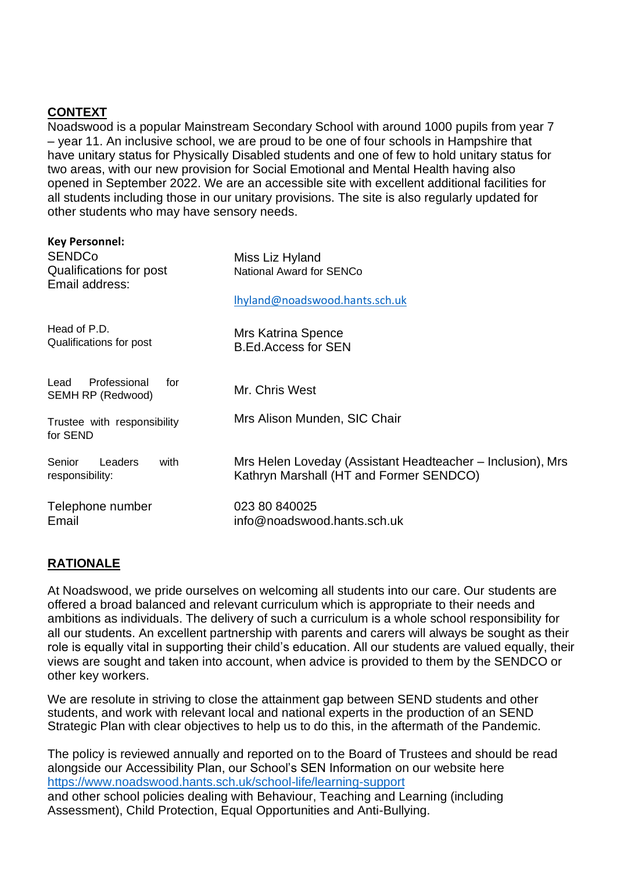# **CONTEXT**

Noadswood is a popular Mainstream Secondary School with around 1000 pupils from year 7 – year 11. An inclusive school, we are proud to be one of four schools in Hampshire that have unitary status for Physically Disabled students and one of few to hold unitary status for two areas, with our new provision for Social Emotional and Mental Health having also opened in September 2022. We are an accessible site with excellent additional facilities for all students including those in our unitary provisions. The site is also regularly updated for other students who may have sensory needs.

| <b>Key Personnel:</b><br><b>SENDCo</b><br>Qualifications for post<br>Email address: | Miss Liz Hyland<br><b>National Award for SENCo</b>                                                    |
|-------------------------------------------------------------------------------------|-------------------------------------------------------------------------------------------------------|
|                                                                                     | Ihyland@noadswood.hants.sch.uk                                                                        |
| Head of P.D.<br>Qualifications for post                                             | Mrs Katrina Spence<br><b>B.Ed.Access for SEN</b>                                                      |
| Professional<br>Lead<br>for<br>SEMH RP (Redwood)                                    | Mr. Chris West                                                                                        |
| Trustee with responsibility<br>for SEND                                             | Mrs Alison Munden, SIC Chair                                                                          |
| Senior<br>Leaders<br>with<br>responsibility:                                        | Mrs Helen Loveday (Assistant Headteacher – Inclusion), Mrs<br>Kathryn Marshall (HT and Former SENDCO) |
| Telephone number<br>Email                                                           | 023 80 840025<br>info@noadswood.hants.sch.uk                                                          |

## **RATIONALE**

At Noadswood, we pride ourselves on welcoming all students into our care. Our students are offered a broad balanced and relevant curriculum which is appropriate to their needs and ambitions as individuals. The delivery of such a curriculum is a whole school responsibility for all our students. An excellent partnership with parents and carers will always be sought as their role is equally vital in supporting their child's education. All our students are valued equally, their views are sought and taken into account, when advice is provided to them by the SENDCO or other key workers.

We are resolute in striving to close the attainment gap between SEND students and other students, and work with relevant local and national experts in the production of an SEND Strategic Plan with clear objectives to help us to do this, in the aftermath of the Pandemic.

The policy is reviewed annually and reported on to the Board of Trustees and should be read alongside our Accessibility Plan, our School's SEN Information on our website here <https://www.noadswood.hants.sch.uk/school-life/learning-support> and other school policies dealing with Behaviour, Teaching and Learning (including Assessment), Child Protection, Equal Opportunities and Anti-Bullying.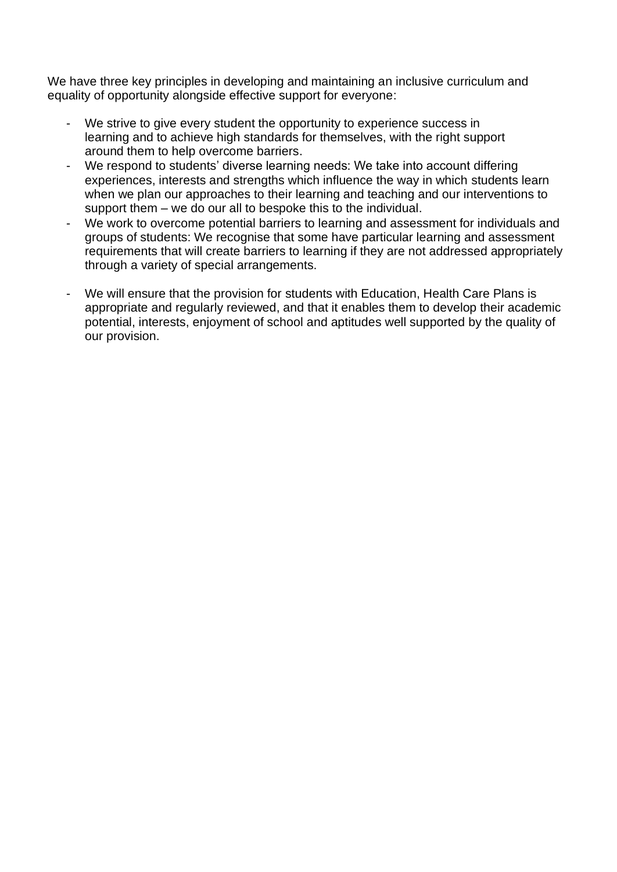We have three key principles in developing and maintaining an inclusive curriculum and equality of opportunity alongside effective support for everyone:

- We strive to give every student the opportunity to experience success in learning and to achieve high standards for themselves, with the right support around them to help overcome barriers.
- We respond to students' diverse learning needs: We take into account differing experiences, interests and strengths which influence the way in which students learn when we plan our approaches to their learning and teaching and our interventions to support them – we do our all to bespoke this to the individual.
- We work to overcome potential barriers to learning and assessment for individuals and groups of students: We recognise that some have particular learning and assessment requirements that will create barriers to learning if they are not addressed appropriately through a variety of special arrangements.
- We will ensure that the provision for students with Education, Health Care Plans is appropriate and regularly reviewed, and that it enables them to develop their academic potential, interests, enjoyment of school and aptitudes well supported by the quality of our provision.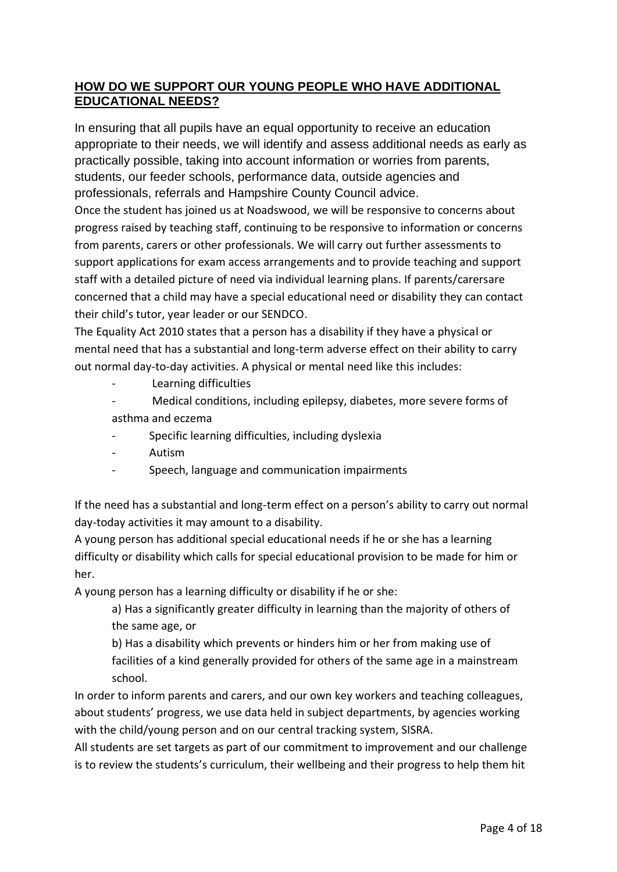## **HOW DO WE SUPPORT OUR YOUNG PEOPLE WHO HAVE ADDITIONAL EDUCATIONAL NEEDS?**

In ensuring that all pupils have an equal opportunity to receive an education appropriate to their needs, we will identify and assess additional needs as early as practically possible, taking into account information or worries from parents, students, our feeder schools, performance data, outside agencies and professionals, referrals and Hampshire County Council advice.

Once the student has joined us at Noadswood, we will be responsive to concerns about progress raised by teaching staff, continuing to be responsive to information or concerns from parents, carers or other professionals. We will carry out further assessments to support applications for exam access arrangements and to provide teaching and support staff with a detailed picture of need via individual learning plans. If parents/carersare concerned that a child may have a special educational need or disability they can contact their child's tutor, year leader or our SENDCO.

The Equality Act 2010 states that a person has a disability if they have a physical or mental need that has a substantial and long-term adverse effect on their ability to carry out normal day-to-day activities. A physical or mental need like this includes:

- Learning difficulties
- Medical conditions, including epilepsy, diabetes, more severe forms of asthma and eczema
- Specific learning difficulties, including dyslexia
- Autism
- Speech, language and communication impairments

If the need has a substantial and long-term effect on a person's ability to carry out normal day-today activities it may amount to a disability.

A young person has additional special educational needs if he or she has a learning difficulty or disability which calls for special educational provision to be made for him or her.

A young person has a learning difficulty or disability if he or she:

a) Has a significantly greater difficulty in learning than the majority of others of the same age, or

b) Has a disability which prevents or hinders him or her from making use of facilities of a kind generally provided for others of the same age in a mainstream school.

In order to inform parents and carers, and our own key workers and teaching colleagues, about students' progress, we use data held in subject departments, by agencies working with the child/young person and on our central tracking system, SISRA.

All students are set targets as part of our commitment to improvement and our challenge is to review the students's curriculum, their wellbeing and their progress to help them hit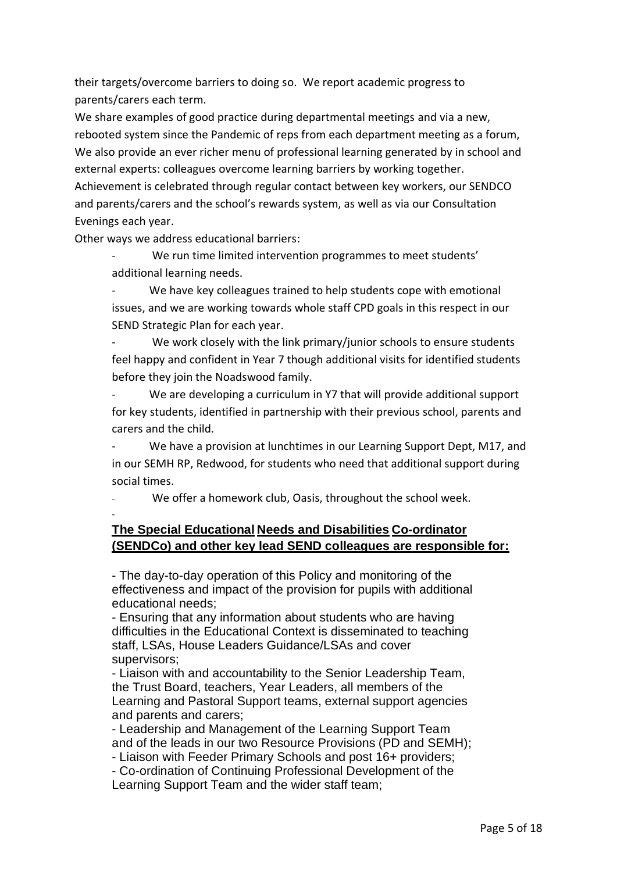their targets/overcome barriers to doing so. We report academic progress to parents/carers each term.

We share examples of good practice during departmental meetings and via a new, rebooted system since the Pandemic of reps from each department meeting as a forum, We also provide an ever richer menu of professional learning generated by in school and external experts: colleagues overcome learning barriers by working together. Achievement is celebrated through regular contact between key workers, our SENDCO and parents/carers and the school's rewards system, as well as via our Consultation Evenings each year.

Other ways we address educational barriers:

We run time limited intervention programmes to meet students' additional learning needs.

We have key colleagues trained to help students cope with emotional issues, and we are working towards whole staff CPD goals in this respect in our SEND Strategic Plan for each year.

We work closely with the link primary/junior schools to ensure students feel happy and confident in Year 7 though additional visits for identified students before they join the Noadswood family.

We are developing a curriculum in Y7 that will provide additional support for key students, identified in partnership with their previous school, parents and carers and the child.

We have a provision at lunchtimes in our Learning Support Dept, M17, and in our SEMH RP, Redwood, for students who need that additional support during social times.

We offer a homework club, Oasis, throughout the school week.

## -

## **The Special Educational Needs and Disabilities Co-ordinator (SENDCo) and other key lead SEND colleagues are responsible for:**

- The day-to-day operation of this Policy and monitoring of the effectiveness and impact of the provision for pupils with additional educational needs;

- Ensuring that any information about students who are having difficulties in the Educational Context is disseminated to teaching staff, LSAs, House Leaders Guidance/LSAs and cover supervisors;

- Liaison with and accountability to the Senior Leadership Team, the Trust Board, teachers, Year Leaders, all members of the Learning and Pastoral Support teams, external support agencies and parents and carers;

- Leadership and Management of the Learning Support Team and of the leads in our two Resource Provisions (PD and SEMH); - Liaison with Feeder Primary Schools and post 16+ providers;

- Co-ordination of Continuing Professional Development of the Learning Support Team and the wider staff team;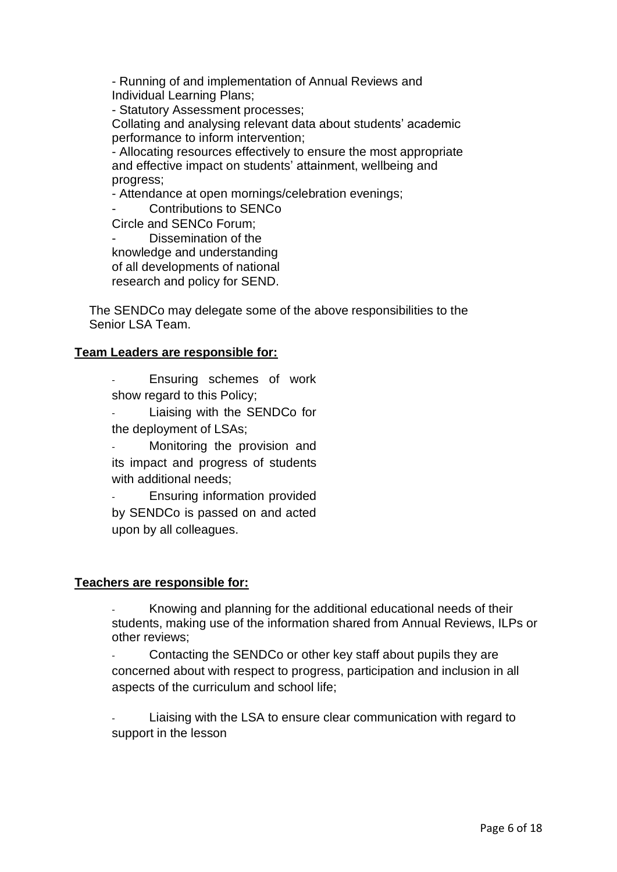- Running of and implementation of Annual Reviews and Individual Learning Plans;

- Statutory Assessment processes;

Collating and analysing relevant data about students' academic performance to inform intervention;

- Allocating resources effectively to ensure the most appropriate and effective impact on students' attainment, wellbeing and progress;

- Attendance at open mornings/celebration evenings;

Contributions to SENCo

Circle and SENCo Forum;

Dissemination of the knowledge and understanding of all developments of national research and policy for SEND.

The SENDCo may delegate some of the above responsibilities to the Senior LSA Team.

#### **Team Leaders are responsible for:**

Ensuring schemes of work show regard to this Policy;

Liaising with the SENDCo for the deployment of LSAs;

Monitoring the provision and its impact and progress of students with additional needs;

Ensuring information provided by SENDCo is passed on and acted upon by all colleagues.

#### **Teachers are responsible for:**

- Knowing and planning for the additional educational needs of their students, making use of the information shared from Annual Reviews, ILPs or other reviews;

Contacting the SENDCo or other key staff about pupils they are concerned about with respect to progress, participation and inclusion in all aspects of the curriculum and school life;

Liaising with the LSA to ensure clear communication with regard to support in the lesson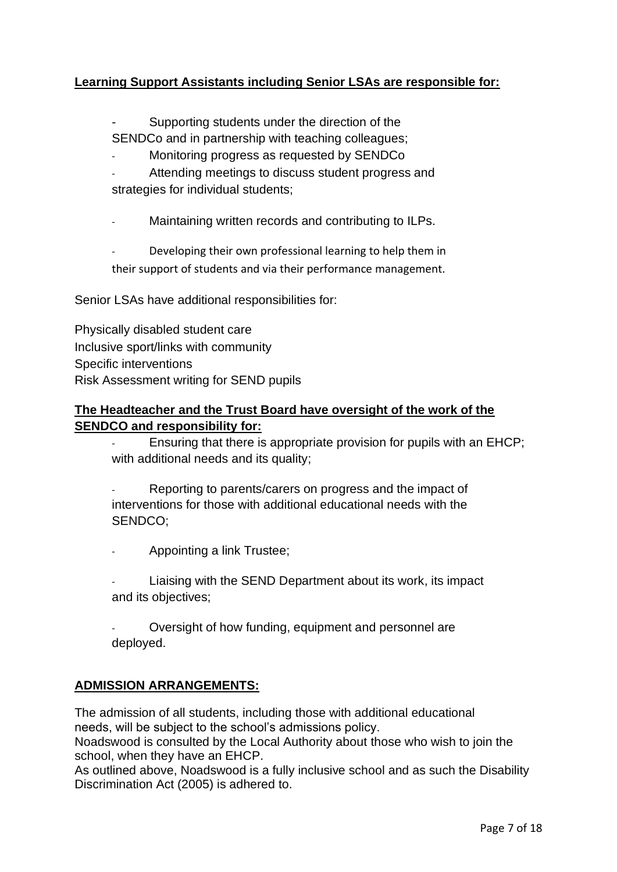## **Learning Support Assistants including Senior LSAs are responsible for:**

Supporting students under the direction of the SENDCo and in partnership with teaching colleagues;

Monitoring progress as requested by SENDCo

Attending meetings to discuss student progress and strategies for individual students;

Maintaining written records and contributing to ILPs.

Developing their own professional learning to help them in their support of students and via their performance management.

Senior LSAs have additional responsibilities for:

Physically disabled student care Inclusive sport/links with community Specific interventions Risk Assessment writing for SEND pupils

### **The Headteacher and the Trust Board have oversight of the work of the SENDCO and responsibility for:**

Ensuring that there is appropriate provision for pupils with an EHCP; with additional needs and its quality;

Reporting to parents/carers on progress and the impact of interventions for those with additional educational needs with the SENDCO;

- Appointing a link Trustee;

Liaising with the SEND Department about its work, its impact and its objectives;

Oversight of how funding, equipment and personnel are deployed.

#### **ADMISSION ARRANGEMENTS:**

The admission of all students, including those with additional educational needs, will be subject to the school's admissions policy.

Noadswood is consulted by the Local Authority about those who wish to join the school, when they have an EHCP.

As outlined above, Noadswood is a fully inclusive school and as such the Disability Discrimination Act (2005) is adhered to.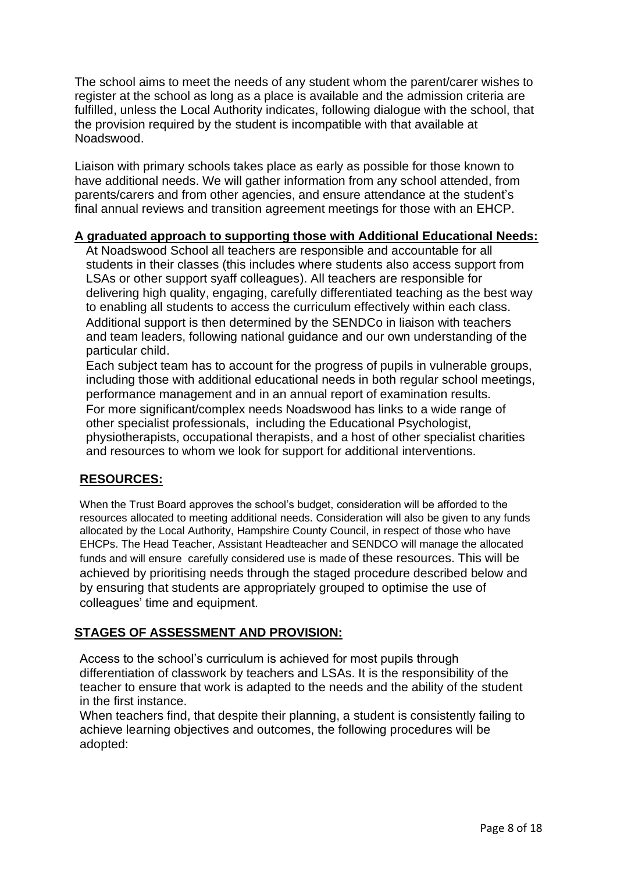The school aims to meet the needs of any student whom the parent/carer wishes to register at the school as long as a place is available and the admission criteria are fulfilled, unless the Local Authority indicates, following dialogue with the school, that the provision required by the student is incompatible with that available at Noadswood.

Liaison with primary schools takes place as early as possible for those known to have additional needs. We will gather information from any school attended, from parents/carers and from other agencies, and ensure attendance at the student's final annual reviews and transition agreement meetings for those with an EHCP.

#### **A graduated approach to supporting those with Additional Educational Needs:**

At Noadswood School all teachers are responsible and accountable for all students in their classes (this includes where students also access support from LSAs or other support syaff colleagues). All teachers are responsible for delivering high quality, engaging, carefully differentiated teaching as the best way to enabling all students to access the curriculum effectively within each class. Additional support is then determined by the SENDCo in liaison with teachers and team leaders, following national guidance and our own understanding of the particular child.

Each subject team has to account for the progress of pupils in vulnerable groups, including those with additional educational needs in both regular school meetings, performance management and in an annual report of examination results. For more significant/complex needs Noadswood has links to a wide range of other specialist professionals, including the Educational Psychologist, physiotherapists, occupational therapists, and a host of other specialist charities and resources to whom we look for support for additional interventions.

## **RESOURCES:**

When the Trust Board approves the school's budget, consideration will be afforded to the resources allocated to meeting additional needs. Consideration will also be given to any funds allocated by the Local Authority, Hampshire County Council, in respect of those who have EHCPs. The Head Teacher, Assistant Headteacher and SENDCO will manage the allocated funds and will ensure carefully considered use is made of these resources. This will be achieved by prioritising needs through the staged procedure described below and by ensuring that students are appropriately grouped to optimise the use of colleagues' time and equipment.

## **STAGES OF ASSESSMENT AND PROVISION:**

Access to the school's curriculum is achieved for most pupils through differentiation of classwork by teachers and LSAs. It is the responsibility of the teacher to ensure that work is adapted to the needs and the ability of the student in the first instance.

When teachers find, that despite their planning, a student is consistently failing to achieve learning objectives and outcomes, the following procedures will be adopted: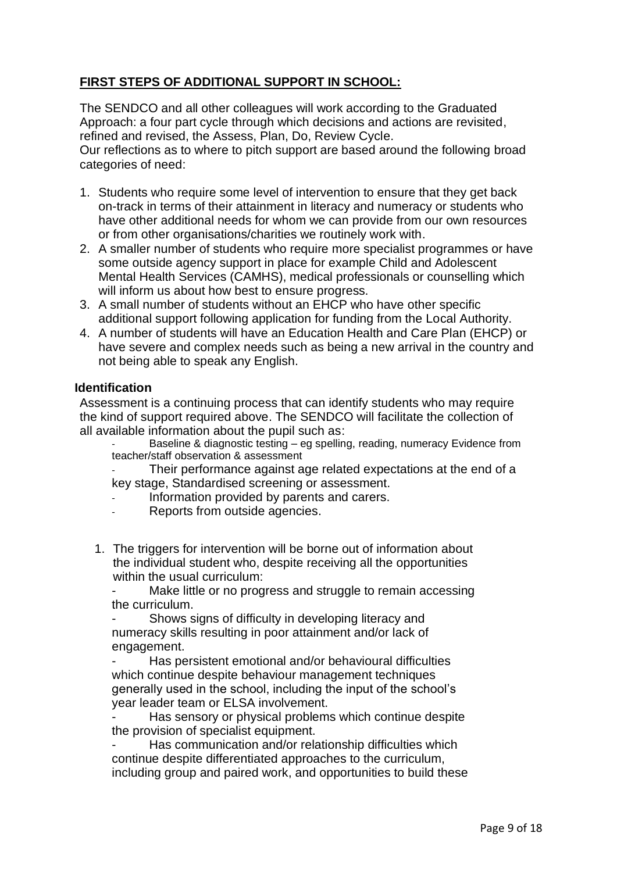## **FIRST STEPS OF ADDITIONAL SUPPORT IN SCHOOL:**

The SENDCO and all other colleagues will work according to the Graduated Approach: a four part cycle through which decisions and actions are revisited, refined and revised, the Assess, Plan, Do, Review Cycle.

Our reflections as to where to pitch support are based around the following broad categories of need:

- 1. Students who require some level of intervention to ensure that they get back on-track in terms of their attainment in literacy and numeracy or students who have other additional needs for whom we can provide from our own resources or from other organisations/charities we routinely work with.
- 2. A smaller number of students who require more specialist programmes or have some outside agency support in place for example Child and Adolescent Mental Health Services (CAMHS), medical professionals or counselling which will inform us about how best to ensure progress.
- 3. A small number of students without an EHCP who have other specific additional support following application for funding from the Local Authority.
- 4. A number of students will have an Education Health and Care Plan (EHCP) or have severe and complex needs such as being a new arrival in the country and not being able to speak any English.

#### **Identification**

Assessment is a continuing process that can identify students who may require the kind of support required above. The SENDCO will facilitate the collection of all available information about the pupil such as:

Baseline & diagnostic testing – eg spelling, reading, numeracy Evidence from teacher/staff observation & assessment

Their performance against age related expectations at the end of a key stage, Standardised screening or assessment.

- Information provided by parents and carers.
- Reports from outside agencies.
- 1. The triggers for intervention will be borne out of information about the individual student who, despite receiving all the opportunities within the usual curriculum:

Make little or no progress and struggle to remain accessing the curriculum.

Shows signs of difficulty in developing literacy and numeracy skills resulting in poor attainment and/or lack of engagement.

Has persistent emotional and/or behavioural difficulties which continue despite behaviour management techniques generally used in the school, including the input of the school's year leader team or ELSA involvement.

Has sensory or physical problems which continue despite the provision of specialist equipment.

Has communication and/or relationship difficulties which continue despite differentiated approaches to the curriculum, including group and paired work, and opportunities to build these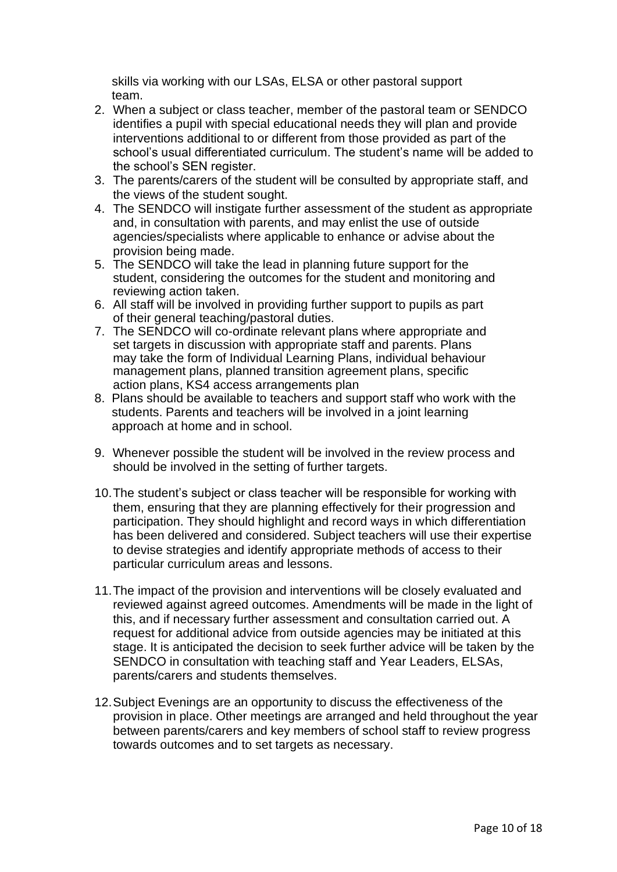skills via working with our LSAs, ELSA or other pastoral support team.

- 2. When a subject or class teacher, member of the pastoral team or SENDCO identifies a pupil with special educational needs they will plan and provide interventions additional to or different from those provided as part of the school's usual differentiated curriculum. The student's name will be added to the school's SEN register.
- 3. The parents/carers of the student will be consulted by appropriate staff, and the views of the student sought.
- 4. The SENDCO will instigate further assessment of the student as appropriate and, in consultation with parents, and may enlist the use of outside agencies/specialists where applicable to enhance or advise about the provision being made.
- 5. The SENDCO will take the lead in planning future support for the student, considering the outcomes for the student and monitoring and reviewing action taken.
- 6. All staff will be involved in providing further support to pupils as part of their general teaching/pastoral duties.
- 7. The SENDCO will co-ordinate relevant plans where appropriate and set targets in discussion with appropriate staff and parents. Plans may take the form of Individual Learning Plans, individual behaviour management plans, planned transition agreement plans, specific action plans, KS4 access arrangements plan
- 8. Plans should be available to teachers and support staff who work with the students. Parents and teachers will be involved in a joint learning approach at home and in school.
- 9. Whenever possible the student will be involved in the review process and should be involved in the setting of further targets.
- 10.The student's subject or class teacher will be responsible for working with them, ensuring that they are planning effectively for their progression and participation. They should highlight and record ways in which differentiation has been delivered and considered. Subject teachers will use their expertise to devise strategies and identify appropriate methods of access to their particular curriculum areas and lessons.
- 11.The impact of the provision and interventions will be closely evaluated and reviewed against agreed outcomes. Amendments will be made in the light of this, and if necessary further assessment and consultation carried out. A request for additional advice from outside agencies may be initiated at this stage. It is anticipated the decision to seek further advice will be taken by the SENDCO in consultation with teaching staff and Year Leaders, ELSAs, parents/carers and students themselves.
- 12.Subject Evenings are an opportunity to discuss the effectiveness of the provision in place. Other meetings are arranged and held throughout the year between parents/carers and key members of school staff to review progress towards outcomes and to set targets as necessary.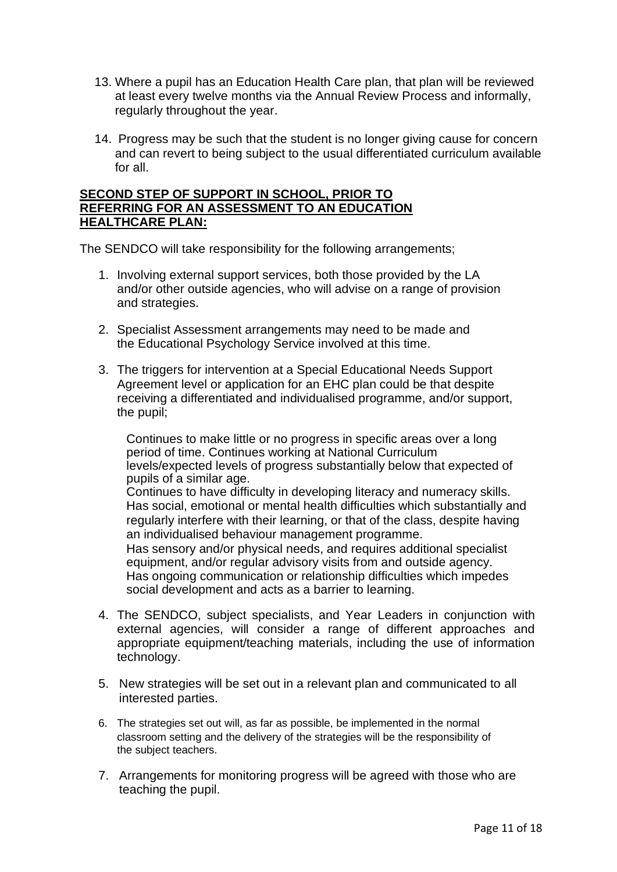- 13. Where a pupil has an Education Health Care plan, that plan will be reviewed at least every twelve months via the Annual Review Process and informally, regularly throughout the year.
- 14. Progress may be such that the student is no longer giving cause for concern and can revert to being subject to the usual differentiated curriculum available for all.

#### **SECOND STEP OF SUPPORT IN SCHOOL, PRIOR TO REFERRING FOR AN ASSESSMENT TO AN EDUCATION HEALTHCARE PLAN:**

The SENDCO will take responsibility for the following arrangements;

- 1. Involving external support services, both those provided by the LA and/or other outside agencies, who will advise on a range of provision and strategies.
- 2. Specialist Assessment arrangements may need to be made and the Educational Psychology Service involved at this time.
- 3. The triggers for intervention at a Special Educational Needs Support Agreement level or application for an EHC plan could be that despite receiving a differentiated and individualised programme, and/or support, the pupil;

Continues to make little or no progress in specific areas over a long period of time. Continues working at National Curriculum levels/expected levels of progress substantially below that expected of pupils of a similar age. Continues to have difficulty in developing literacy and numeracy skills. Has social, emotional or mental health difficulties which substantially and regularly interfere with their learning, or that of the class, despite having an individualised behaviour management programme. Has sensory and/or physical needs, and requires additional specialist equipment, and/or regular advisory visits from and outside agency. Has ongoing communication or relationship difficulties which impedes social development and acts as a barrier to learning.

- 4. The SENDCO, subject specialists, and Year Leaders in conjunction with external agencies, will consider a range of different approaches and appropriate equipment/teaching materials, including the use of information technology.
- 5. New strategies will be set out in a relevant plan and communicated to all interested parties.
- 6. The strategies set out will, as far as possible, be implemented in the normal classroom setting and the delivery of the strategies will be the responsibility of the subject teachers.
- 7. Arrangements for monitoring progress will be agreed with those who are teaching the pupil.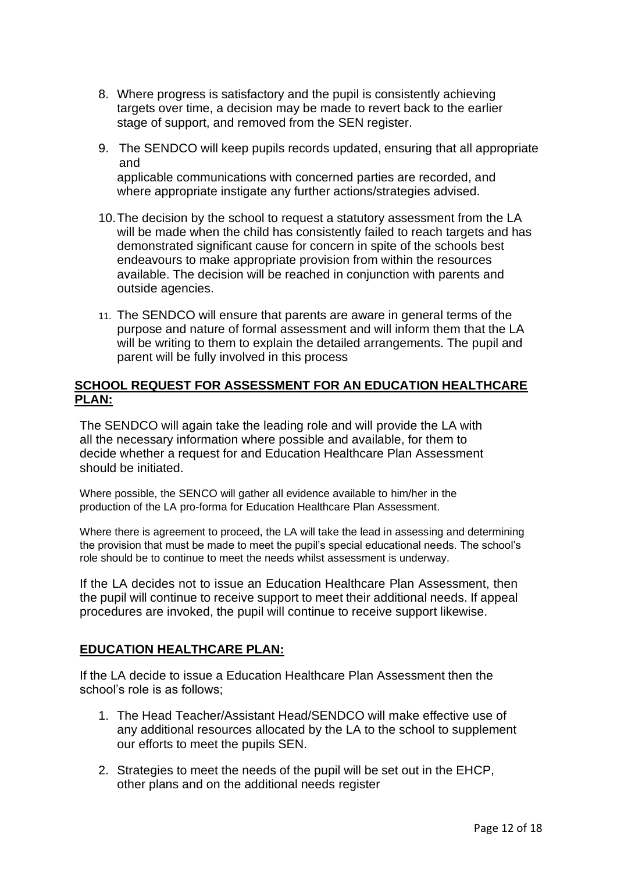- 8. Where progress is satisfactory and the pupil is consistently achieving targets over time, a decision may be made to revert back to the earlier stage of support, and removed from the SEN register.
- 9. The SENDCO will keep pupils records updated, ensuring that all appropriate and applicable communications with concerned parties are recorded, and where appropriate instigate any further actions/strategies advised.
- 10.The decision by the school to request a statutory assessment from the LA will be made when the child has consistently failed to reach targets and has demonstrated significant cause for concern in spite of the schools best endeavours to make appropriate provision from within the resources available. The decision will be reached in conjunction with parents and outside agencies.
- 11. The SENDCO will ensure that parents are aware in general terms of the purpose and nature of formal assessment and will inform them that the LA will be writing to them to explain the detailed arrangements. The pupil and parent will be fully involved in this process

#### **SCHOOL REQUEST FOR ASSESSMENT FOR AN EDUCATION HEALTHCARE PLAN:**

The SENDCO will again take the leading role and will provide the LA with all the necessary information where possible and available, for them to decide whether a request for and Education Healthcare Plan Assessment should be initiated.

Where possible, the SENCO will gather all evidence available to him/her in the production of the LA pro-forma for Education Healthcare Plan Assessment.

Where there is agreement to proceed, the LA will take the lead in assessing and determining the provision that must be made to meet the pupil's special educational needs. The school's role should be to continue to meet the needs whilst assessment is underway.

If the LA decides not to issue an Education Healthcare Plan Assessment, then the pupil will continue to receive support to meet their additional needs. If appeal procedures are invoked, the pupil will continue to receive support likewise.

#### **EDUCATION HEALTHCARE PLAN:**

If the LA decide to issue a Education Healthcare Plan Assessment then the school's role is as follows;

- 1. The Head Teacher/Assistant Head/SENDCO will make effective use of any additional resources allocated by the LA to the school to supplement our efforts to meet the pupils SEN.
- 2. Strategies to meet the needs of the pupil will be set out in the EHCP, other plans and on the additional needs register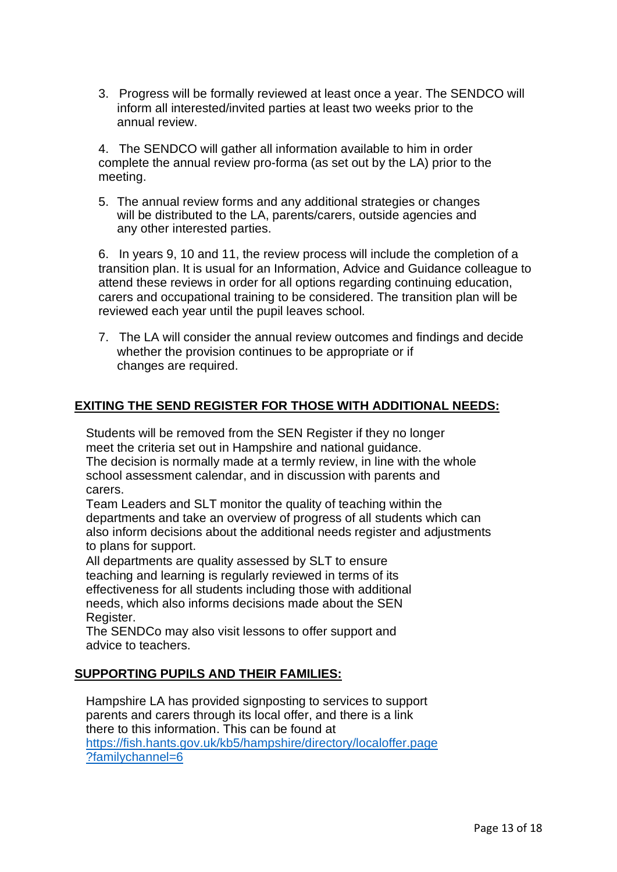3. Progress will be formally reviewed at least once a year. The SENDCO will inform all interested/invited parties at least two weeks prior to the annual review.

4. The SENDCO will gather all information available to him in order complete the annual review pro-forma (as set out by the LA) prior to the meeting.

5. The annual review forms and any additional strategies or changes will be distributed to the LA, parents/carers, outside agencies and any other interested parties.

6. In years 9, 10 and 11, the review process will include the completion of a transition plan. It is usual for an Information, Advice and Guidance colleague to attend these reviews in order for all options regarding continuing education, carers and occupational training to be considered. The transition plan will be reviewed each year until the pupil leaves school.

7. The LA will consider the annual review outcomes and findings and decide whether the provision continues to be appropriate or if changes are required.

#### **EXITING THE SEND REGISTER FOR THOSE WITH ADDITIONAL NEEDS:**

Students will be removed from the SEN Register if they no longer meet the criteria set out in Hampshire and national guidance. The decision is normally made at a termly review, in line with the whole school assessment calendar, and in discussion with parents and carers.

Team Leaders and SLT monitor the quality of teaching within the departments and take an overview of progress of all students which can also inform decisions about the additional needs register and adjustments to plans for support.

All departments are quality assessed by SLT to ensure teaching and learning is regularly reviewed in terms of its effectiveness for all students including those with additional needs, which also informs decisions made about the SEN Register.

The SENDCo may also visit lessons to offer support and advice to teachers.

#### **SUPPORTING PUPILS AND THEIR FAMILIES:**

Hampshire LA has provided signposting to services to support parents and carers through its local offer, and there is a link there to this information. This can be found at [https://fish.hants.gov.uk/kb5/hampshire/directory/localoffer.page](https://fish.hants.gov.uk/kb5/hampshire/directory/localoffer.page?familychannel=6) [?familychannel=6](https://fish.hants.gov.uk/kb5/hampshire/directory/localoffer.page?familychannel=6)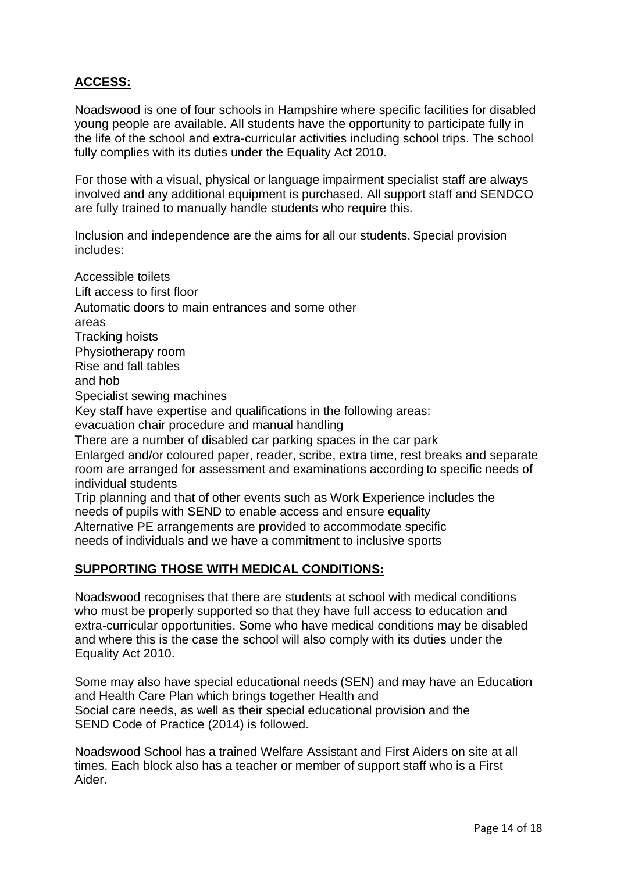## **ACCESS:**

Noadswood is one of four schools in Hampshire where specific facilities for disabled young people are available. All students have the opportunity to participate fully in the life of the school and extra-curricular activities including school trips. The school fully complies with its duties under the Equality Act 2010.

For those with a visual, physical or language impairment specialist staff are always involved and any additional equipment is purchased. All support staff and SENDCO are fully trained to manually handle students who require this.

Inclusion and independence are the aims for all our students. Special provision includes:

Accessible toilets Lift access to first floor Automatic doors to main entrances and some other areas Tracking hoists Physiotherapy room Rise and fall tables and hob Specialist sewing machines Key staff have expertise and qualifications in the following areas: evacuation chair procedure and manual handling There are a number of disabled car parking spaces in the car park Enlarged and/or coloured paper, reader, scribe, extra time, rest breaks and separate room are arranged for assessment and examinations according to specific needs of individual students Trip planning and that of other events such as Work Experience includes the needs of pupils with SEND to enable access and ensure equality Alternative PE arrangements are provided to accommodate specific needs of individuals and we have a commitment to inclusive sports

#### **SUPPORTING THOSE WITH MEDICAL CONDITIONS:**

Noadswood recognises that there are students at school with medical conditions who must be properly supported so that they have full access to education and extra-curricular opportunities. Some who have medical conditions may be disabled and where this is the case the school will also comply with its duties under the Equality Act 2010.

Some may also have special educational needs (SEN) and may have an Education and Health Care Plan which brings together Health and Social care needs, as well as their special educational provision and the SEND Code of Practice (2014) is followed.

Noadswood School has a trained Welfare Assistant and First Aiders on site at all times. Each block also has a teacher or member of support staff who is a First Aider.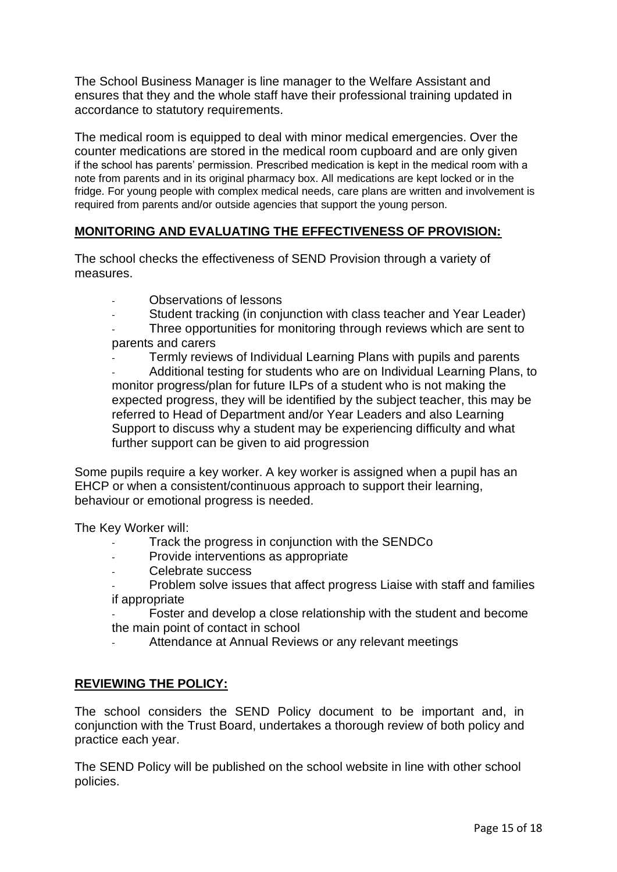The School Business Manager is line manager to the Welfare Assistant and ensures that they and the whole staff have their professional training updated in accordance to statutory requirements.

The medical room is equipped to deal with minor medical emergencies. Over the counter medications are stored in the medical room cupboard and are only given if the school has parents' permission. Prescribed medication is kept in the medical room with a note from parents and in its original pharmacy box. All medications are kept locked or in the fridge. For young people with complex medical needs, care plans are written and involvement is required from parents and/or outside agencies that support the young person.

## **MONITORING AND EVALUATING THE EFFECTIVENESS OF PROVISION:**

The school checks the effectiveness of SEND Provision through a variety of measures.

- Observations of lessons
- Student tracking (in conjunction with class teacher and Year Leader)
- Three opportunities for monitoring through reviews which are sent to parents and carers
- Termly reviews of Individual Learning Plans with pupils and parents Additional testing for students who are on Individual Learning Plans, to monitor progress/plan for future ILPs of a student who is not making the expected progress, they will be identified by the subject teacher, this may be referred to Head of Department and/or Year Leaders and also Learning Support to discuss why a student may be experiencing difficulty and what

further support can be given to aid progression

Some pupils require a key worker. A key worker is assigned when a pupil has an EHCP or when a consistent/continuous approach to support their learning, behaviour or emotional progress is needed.

The Key Worker will:

- Track the progress in conjunction with the SENDCo
- Provide interventions as appropriate
- Celebrate success
- Problem solve issues that affect progress Liaise with staff and families if appropriate

Foster and develop a close relationship with the student and become the main point of contact in school

Attendance at Annual Reviews or any relevant meetings

#### **REVIEWING THE POLICY:**

The school considers the SEND Policy document to be important and, in conjunction with the Trust Board, undertakes a thorough review of both policy and practice each year.

The SEND Policy will be published on the school website in line with other school policies.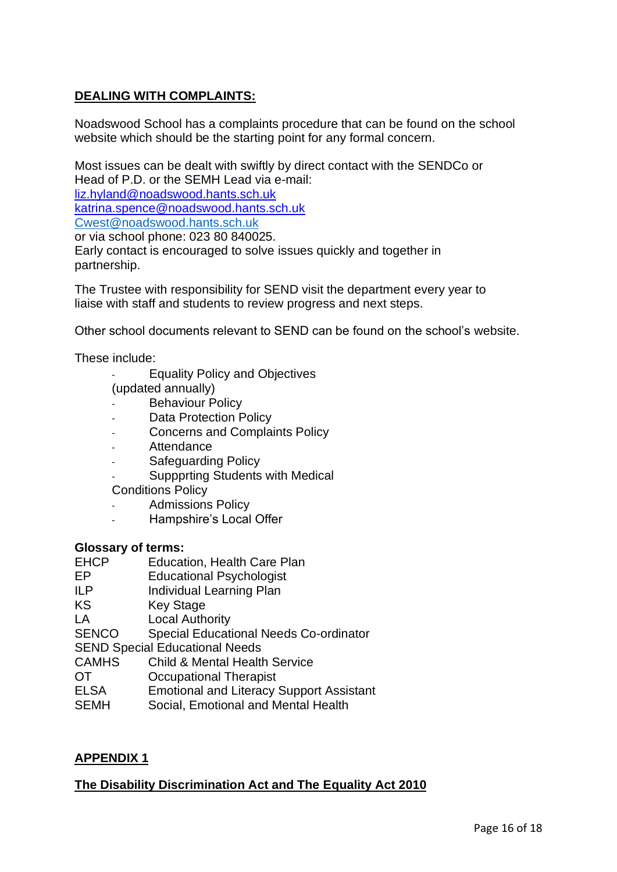## **DEALING WITH COMPLAINTS:**

Noadswood School has a complaints procedure that can be found on the school website which should be the starting point for any formal concern.

Most issues can be dealt with swiftly by direct contact with the SENDCo or Head of P.D. or the SEMH Lead via e-mail: [liz.hyland@noadswood.hants.sch.uk](mailto:liz.hyland@noadswood.hants.sch.uk) [katrina.spence@noadswood.hants.sch.uk](mailto:katrina.spence@noadswood.hants.sch.uk)

[Cwest@noadswood.hants.sch.uk](mailto:Cwest@noadswood.hants.sch.uk) or via school phone: 023 80 840025.

Early contact is encouraged to solve issues quickly and together in partnership.

The Trustee with responsibility for SEND visit the department every year to liaise with staff and students to review progress and next steps.

Other school documents relevant to SEND can be found on the school's website.

These include:

- Equality Policy and Objectives
- (updated annually)
- Behaviour Policy
- Data Protection Policy
- Concerns and Complaints Policy
- **Attendance**
- Safeguarding Policy
- Suppprting Students with Medical
- Conditions Policy
- Admissions Policy
- Hampshire's Local Offer

#### **Glossary of terms:**

- EHCP Education, Health Care Plan
- EP Educational Psychologist
- ILP Individual Learning Plan
- KS Key Stage
- 
- LA Local Authority<br>SENCO Special Educati Special Educational Needs Co-ordinator
- SEND Special Educational Needs
- CAMHS Child & Mental Health Service
- OT Occupational Therapist
- ELSA Emotional and Literacy Support Assistant
- SEMH Social, Emotional and Mental Health

#### **APPENDIX 1**

## **The Disability Discrimination Act and The Equality Act 2010**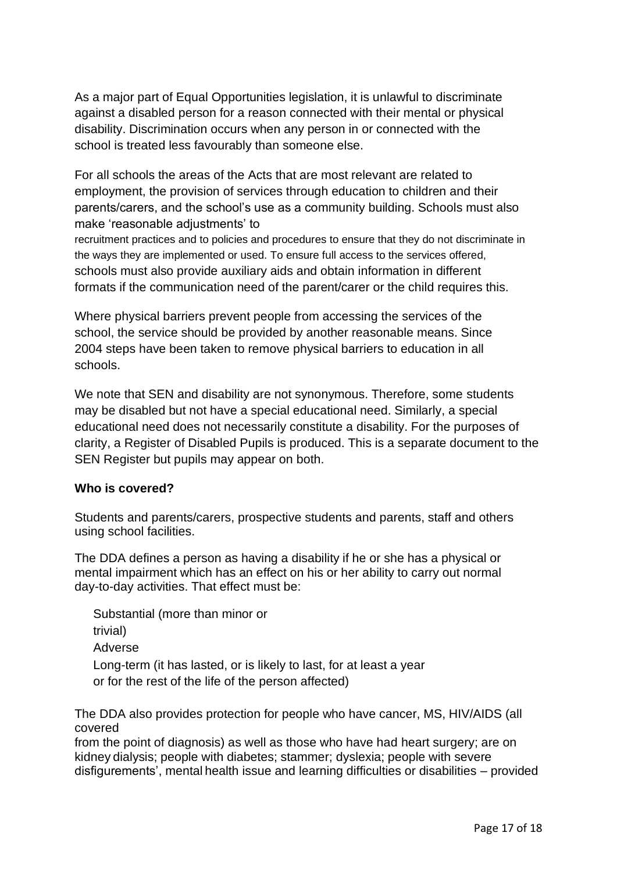As a major part of Equal Opportunities legislation, it is unlawful to discriminate against a disabled person for a reason connected with their mental or physical disability. Discrimination occurs when any person in or connected with the school is treated less favourably than someone else.

For all schools the areas of the Acts that are most relevant are related to employment, the provision of services through education to children and their parents/carers, and the school's use as a community building. Schools must also make 'reasonable adjustments' to

recruitment practices and to policies and procedures to ensure that they do not discriminate in the ways they are implemented or used. To ensure full access to the services offered, schools must also provide auxiliary aids and obtain information in different formats if the communication need of the parent/carer or the child requires this.

Where physical barriers prevent people from accessing the services of the school, the service should be provided by another reasonable means. Since 2004 steps have been taken to remove physical barriers to education in all schools.

We note that SEN and disability are not synonymous. Therefore, some students may be disabled but not have a special educational need. Similarly, a special educational need does not necessarily constitute a disability. For the purposes of clarity, a Register of Disabled Pupils is produced. This is a separate document to the SEN Register but pupils may appear on both.

#### **Who is covered?**

Students and parents/carers, prospective students and parents, staff and others using school facilities.

The DDA defines a person as having a disability if he or she has a physical or mental impairment which has an effect on his or her ability to carry out normal day-to-day activities. That effect must be:

Substantial (more than minor or trivial) Adverse Long-term (it has lasted, or is likely to last, for at least a year or for the rest of the life of the person affected)

The DDA also provides protection for people who have cancer, MS, HIV/AIDS (all covered

from the point of diagnosis) as well as those who have had heart surgery; are on kidney dialysis; people with diabetes; stammer; dyslexia; people with severe disfigurements', mental health issue and learning difficulties or disabilities – provided